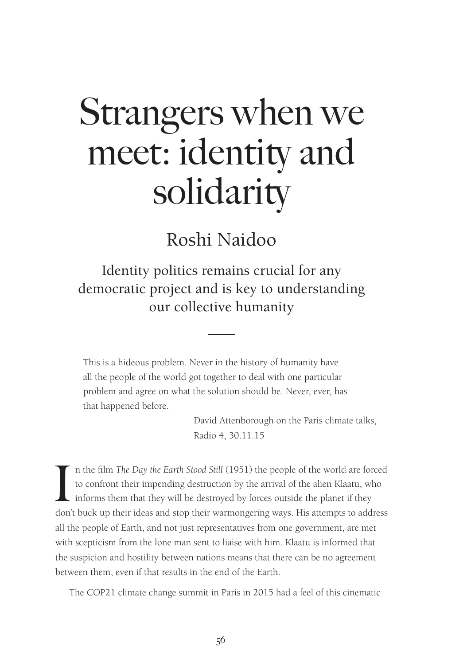# Strangers when we meet: identity and solidarity

## Roshi Naidoo

Identity politics remains crucial for any democratic project and is key to understanding our collective humanity

This is a hideous problem. Never in the history of humanity have all the people of the world got together to deal with one particular problem and agree on what the solution should be. Never, ever, has that happened before.

> David Attenborough on the Paris climate talks, Radio 4, 30.11.15

In the film *The Day the Earth Stood Still* (1951) the people of the world are forced to confront their impending destruction by the arrival of the alien Klaatu, who informs them that they will be destroyed by forces outsi n the film *The Day the Earth Stood Still* (1951) the people of the world are forced to confront their impending destruction by the arrival of the alien Klaatu, who informs them that they will be destroyed by forces outside the planet if they all the people of Earth, and not just representatives from one government, are met with scepticism from the lone man sent to liaise with him. Klaatu is informed that the suspicion and hostility between nations means that there can be no agreement between them, even if that results in the end of the Earth.

The COP21 climate change summit in Paris in 2015 had a feel of this cinematic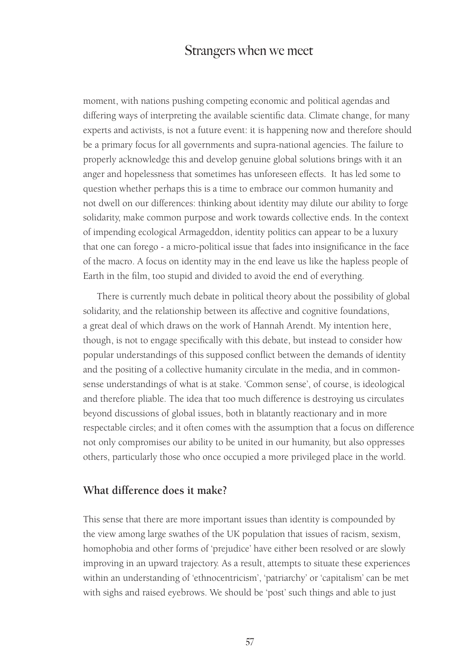moment, with nations pushing competing economic and political agendas and differing ways of interpreting the available scientific data. Climate change, for many experts and activists, is not a future event: it is happening now and therefore should be a primary focus for all governments and supra-national agencies. The failure to properly acknowledge this and develop genuine global solutions brings with it an anger and hopelessness that sometimes has unforeseen effects. It has led some to question whether perhaps this is a time to embrace our common humanity and not dwell on our differences: thinking about identity may dilute our ability to forge solidarity, make common purpose and work towards collective ends. In the context of impending ecological Armageddon, identity politics can appear to be a luxury that one can forego - a micro-political issue that fades into insignificance in the face of the macro. A focus on identity may in the end leave us like the hapless people of Earth in the film, too stupid and divided to avoid the end of everything.

There is currently much debate in political theory about the possibility of global solidarity, and the relationship between its affective and cognitive foundations, a great deal of which draws on the work of Hannah Arendt. My intention here, though, is not to engage specifically with this debate, but instead to consider how popular understandings of this supposed conflict between the demands of identity and the positing of a collective humanity circulate in the media, and in commonsense understandings of what is at stake. 'Common sense', of course, is ideological and therefore pliable. The idea that too much difference is destroying us circulates beyond discussions of global issues, both in blatantly reactionary and in more respectable circles; and it often comes with the assumption that a focus on difference not only compromises our ability to be united in our humanity, but also oppresses others, particularly those who once occupied a more privileged place in the world.

#### **What difference does it make?**

This sense that there are more important issues than identity is compounded by the view among large swathes of the UK population that issues of racism, sexism, homophobia and other forms of 'prejudice' have either been resolved or are slowly improving in an upward trajectory. As a result, attempts to situate these experiences within an understanding of 'ethnocentricism', 'patriarchy' or 'capitalism' can be met with sighs and raised eyebrows. We should be 'post' such things and able to just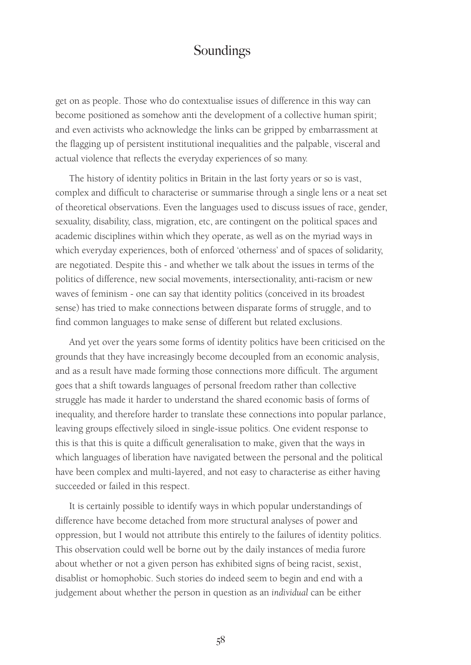get on as people. Those who do contextualise issues of difference in this way can become positioned as somehow anti the development of a collective human spirit; and even activists who acknowledge the links can be gripped by embarrassment at the flagging up of persistent institutional inequalities and the palpable, visceral and actual violence that reflects the everyday experiences of so many.

The history of identity politics in Britain in the last forty years or so is vast, complex and difficult to characterise or summarise through a single lens or a neat set of theoretical observations. Even the languages used to discuss issues of race, gender, sexuality, disability, class, migration, etc, are contingent on the political spaces and academic disciplines within which they operate, as well as on the myriad ways in which everyday experiences, both of enforced 'otherness' and of spaces of solidarity, are negotiated. Despite this - and whether we talk about the issues in terms of the politics of difference, new social movements, intersectionality, anti-racism or new waves of feminism - one can say that identity politics (conceived in its broadest sense) has tried to make connections between disparate forms of struggle, and to find common languages to make sense of different but related exclusions.

And yet over the years some forms of identity politics have been criticised on the grounds that they have increasingly become decoupled from an economic analysis, and as a result have made forming those connections more difficult. The argument goes that a shift towards languages of personal freedom rather than collective struggle has made it harder to understand the shared economic basis of forms of inequality, and therefore harder to translate these connections into popular parlance, leaving groups effectively siloed in single-issue politics. One evident response to this is that this is quite a difficult generalisation to make, given that the ways in which languages of liberation have navigated between the personal and the political have been complex and multi-layered, and not easy to characterise as either having succeeded or failed in this respect.

It is certainly possible to identify ways in which popular understandings of difference have become detached from more structural analyses of power and oppression, but I would not attribute this entirely to the failures of identity politics. This observation could well be borne out by the daily instances of media furore about whether or not a given person has exhibited signs of being racist, sexist, disablist or homophobic. Such stories do indeed seem to begin and end with a judgement about whether the person in question as an *individual* can be either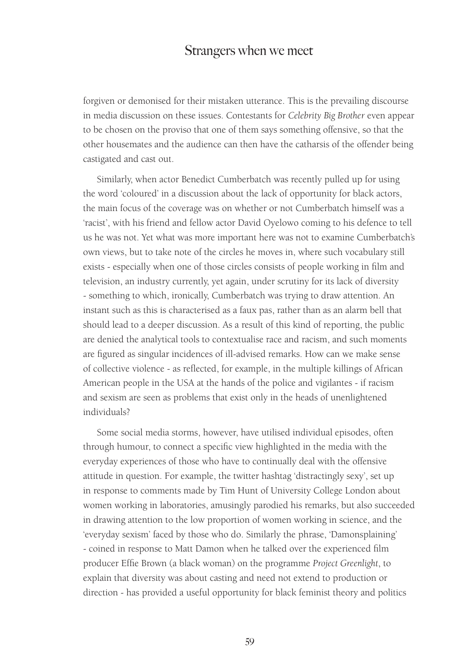forgiven or demonised for their mistaken utterance. This is the prevailing discourse in media discussion on these issues. Contestants for *Celebrity Big Brother* even appear to be chosen on the proviso that one of them says something offensive, so that the other housemates and the audience can then have the catharsis of the offender being castigated and cast out.

Similarly, when actor Benedict Cumberbatch was recently pulled up for using the word 'coloured' in a discussion about the lack of opportunity for black actors, the main focus of the coverage was on whether or not Cumberbatch himself was a 'racist', with his friend and fellow actor David Oyelowo coming to his defence to tell us he was not. Yet what was more important here was not to examine Cumberbatch's own views, but to take note of the circles he moves in, where such vocabulary still exists - especially when one of those circles consists of people working in film and television, an industry currently, yet again, under scrutiny for its lack of diversity - something to which, ironically, Cumberbatch was trying to draw attention. An instant such as this is characterised as a faux pas, rather than as an alarm bell that should lead to a deeper discussion. As a result of this kind of reporting, the public are denied the analytical tools to contextualise race and racism, and such moments are figured as singular incidences of ill-advised remarks. How can we make sense of collective violence - as reflected, for example, in the multiple killings of African American people in the USA at the hands of the police and vigilantes - if racism and sexism are seen as problems that exist only in the heads of unenlightened individuals?

Some social media storms, however, have utilised individual episodes, often through humour, to connect a specific view highlighted in the media with the everyday experiences of those who have to continually deal with the offensive attitude in question. For example, the twitter hashtag 'distractingly sexy', set up in response to comments made by Tim Hunt of University College London about women working in laboratories, amusingly parodied his remarks, but also succeeded in drawing attention to the low proportion of women working in science, and the 'everyday sexism' faced by those who do. Similarly the phrase, 'Damonsplaining' - coined in response to Matt Damon when he talked over the experienced film producer Effie Brown (a black woman) on the programme *Project Greenlight*, to explain that diversity was about casting and need not extend to production or direction - has provided a useful opportunity for black feminist theory and politics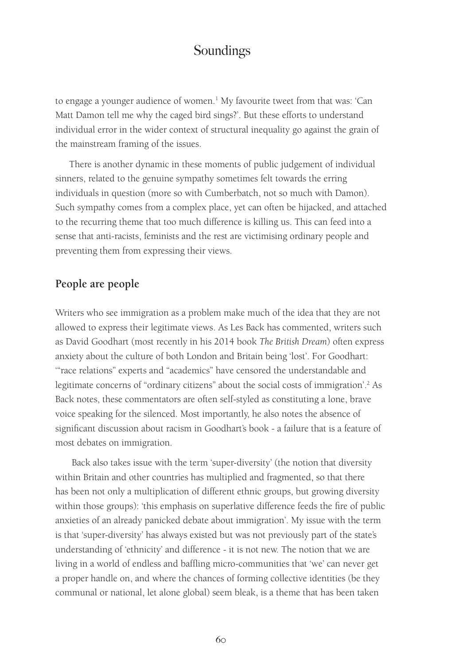to engage a younger audience of women.1 My favourite tweet from that was: 'Can Matt Damon tell me why the caged bird sings?'. But these efforts to understand individual error in the wider context of structural inequality go against the grain of the mainstream framing of the issues.

There is another dynamic in these moments of public judgement of individual sinners, related to the genuine sympathy sometimes felt towards the erring individuals in question (more so with Cumberbatch, not so much with Damon). Such sympathy comes from a complex place, yet can often be hijacked, and attached to the recurring theme that too much difference is killing us. This can feed into a sense that anti-racists, feminists and the rest are victimising ordinary people and preventing them from expressing their views.

#### **People are people**

Writers who see immigration as a problem make much of the idea that they are not allowed to express their legitimate views. As Les Back has commented, writers such as David Goodhart (most recently in his 2014 book *The British Dream*) often express anxiety about the culture of both London and Britain being 'lost'. For Goodhart: '"race relations" experts and "academics" have censored the understandable and legitimate concerns of "ordinary citizens" about the social costs of immigration'.<sup>2</sup> As Back notes, these commentators are often self-styled as constituting a lone, brave voice speaking for the silenced. Most importantly, he also notes the absence of significant discussion about racism in Goodhart's book - a failure that is a feature of most debates on immigration.

 Back also takes issue with the term 'super-diversity' (the notion that diversity within Britain and other countries has multiplied and fragmented, so that there has been not only a multiplication of different ethnic groups, but growing diversity within those groups): 'this emphasis on superlative difference feeds the fire of public anxieties of an already panicked debate about immigration'. My issue with the term is that 'super-diversity' has always existed but was not previously part of the state's understanding of 'ethnicity' and difference - it is not new. The notion that we are living in a world of endless and baffling micro-communities that 'we' can never get a proper handle on, and where the chances of forming collective identities (be they communal or national, let alone global) seem bleak, is a theme that has been taken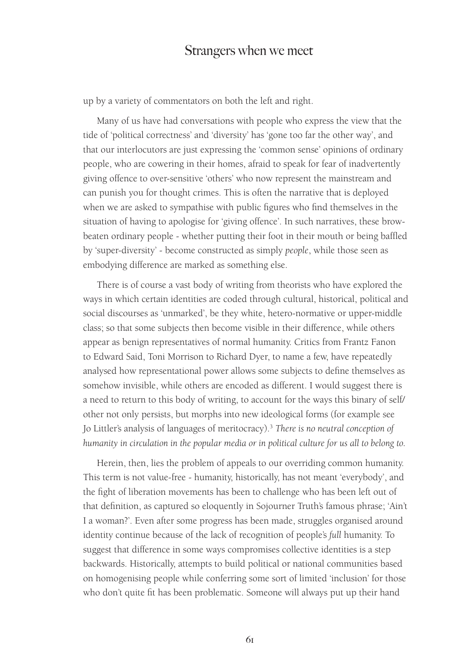up by a variety of commentators on both the left and right.

Many of us have had conversations with people who express the view that the tide of 'political correctness' and 'diversity' has 'gone too far the other way', and that our interlocutors are just expressing the 'common sense' opinions of ordinary people, who are cowering in their homes, afraid to speak for fear of inadvertently giving offence to over-sensitive 'others' who now represent the mainstream and can punish you for thought crimes. This is often the narrative that is deployed when we are asked to sympathise with public figures who find themselves in the situation of having to apologise for 'giving offence'. In such narratives, these browbeaten ordinary people - whether putting their foot in their mouth or being baffled by 'super-diversity' - become constructed as simply *people*, while those seen as embodying difference are marked as something else.

There is of course a vast body of writing from theorists who have explored the ways in which certain identities are coded through cultural, historical, political and social discourses as 'unmarked', be they white, hetero-normative or upper-middle class; so that some subjects then become visible in their difference, while others appear as benign representatives of normal humanity. Critics from Frantz Fanon to Edward Said, Toni Morrison to Richard Dyer, to name a few, have repeatedly analysed how representational power allows some subjects to define themselves as somehow invisible, while others are encoded as different. I would suggest there is a need to return to this body of writing, to account for the ways this binary of self/ other not only persists, but morphs into new ideological forms (for example see Jo Littler's analysis of languages of meritocracy).3 *There is no neutral conception of humanity in circulation in the popular media or in political culture for us all to belong to.* 

Herein, then, lies the problem of appeals to our overriding common humanity. This term is not value-free - humanity, historically, has not meant 'everybody', and the fight of liberation movements has been to challenge who has been left out of that definition, as captured so eloquently in Sojourner Truth's famous phrase; 'Ain't I a woman?'. Even after some progress has been made, struggles organised around identity continue because of the lack of recognition of people's *full* humanity. To suggest that difference in some ways compromises collective identities is a step backwards. Historically, attempts to build political or national communities based on homogenising people while conferring some sort of limited 'inclusion' for those who don't quite fit has been problematic. Someone will always put up their hand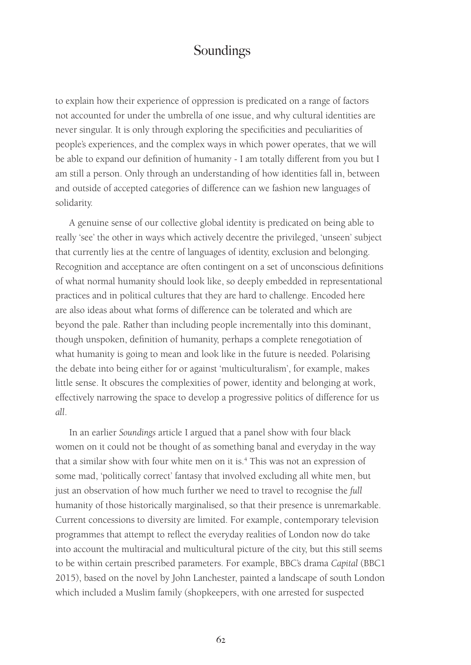to explain how their experience of oppression is predicated on a range of factors not accounted for under the umbrella of one issue, and why cultural identities are never singular. It is only through exploring the specificities and peculiarities of people's experiences, and the complex ways in which power operates, that we will be able to expand our definition of humanity - I am totally different from you but I am still a person. Only through an understanding of how identities fall in, between and outside of accepted categories of difference can we fashion new languages of solidarity.

A genuine sense of our collective global identity is predicated on being able to really 'see' the other in ways which actively decentre the privileged, 'unseen' subject that currently lies at the centre of languages of identity, exclusion and belonging. Recognition and acceptance are often contingent on a set of unconscious definitions of what normal humanity should look like, so deeply embedded in representational practices and in political cultures that they are hard to challenge. Encoded here are also ideas about what forms of difference can be tolerated and which are beyond the pale. Rather than including people incrementally into this dominant, though unspoken, definition of humanity, perhaps a complete renegotiation of what humanity is going to mean and look like in the future is needed. Polarising the debate into being either for or against 'multiculturalism', for example, makes little sense. It obscures the complexities of power, identity and belonging at work, effectively narrowing the space to develop a progressive politics of difference for us *all*.

In an earlier *Soundings* article I argued that a panel show with four black women on it could not be thought of as something banal and everyday in the way that a similar show with four white men on it is.<sup>4</sup> This was not an expression of some mad, 'politically correct' fantasy that involved excluding all white men, but just an observation of how much further we need to travel to recognise the *full* humanity of those historically marginalised, so that their presence is unremarkable. Current concessions to diversity are limited. For example, contemporary television programmes that attempt to reflect the everyday realities of London now do take into account the multiracial and multicultural picture of the city, but this still seems to be within certain prescribed parameters. For example, BBC's drama *Capital* (BBC1 2015), based on the novel by John Lanchester, painted a landscape of south London which included a Muslim family (shopkeepers, with one arrested for suspected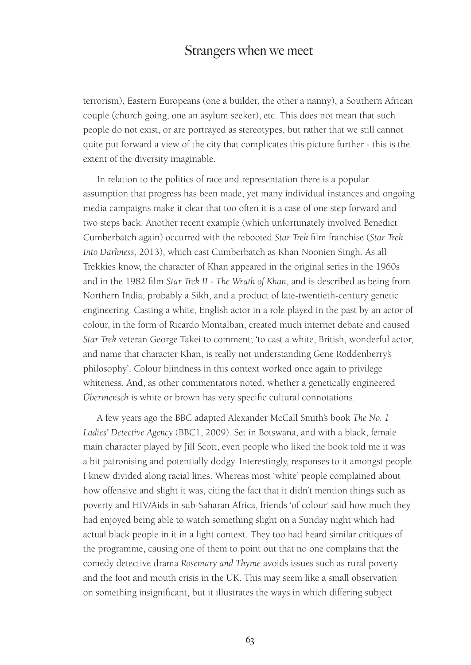terrorism), Eastern Europeans (one a builder, the other a nanny), a Southern African couple (church going, one an asylum seeker), etc. This does not mean that such people do not exist, or are portrayed as stereotypes, but rather that we still cannot quite put forward a view of the city that complicates this picture further - this is the extent of the diversity imaginable.

In relation to the politics of race and representation there is a popular assumption that progress has been made, yet many individual instances and ongoing media campaigns make it clear that too often it is a case of one step forward and two steps back. Another recent example (which unfortunately involved Benedict Cumberbatch again) occurred with the rebooted *Star Trek* film franchise (*Star Trek Into Darkness*, 2013), which cast Cumberbatch as Khan Noonien Singh. As all Trekkies know, the character of Khan appeared in the original series in the 1960s and in the 1982 film *Star Trek II* - *The Wrath of Khan*, and is described as being from Northern India, probably a Sikh, and a product of late-twentieth-century genetic engineering. Casting a white, English actor in a role played in the past by an actor of colour, in the form of Ricardo Montalban, created much internet debate and caused *Star Trek* veteran George Takei to comment; 'to cast a white, British, wonderful actor, and name that character Khan, is really not understanding Gene Roddenberry's philosophy'. Colour blindness in this context worked once again to privilege whiteness. And, as other commentators noted, whether a genetically engineered *Übermensch* is white or brown has very specific cultural connotations.

A few years ago the BBC adapted Alexander McCall Smith's book *The No. 1 Ladies' Detective Agency* (BBC1, 2009). Set in Botswana, and with a black, female main character played by Jill Scott, even people who liked the book told me it was a bit patronising and potentially dodgy. Interestingly, responses to it amongst people I knew divided along racial lines. Whereas most 'white' people complained about how offensive and slight it was, citing the fact that it didn't mention things such as poverty and HIV/Aids in sub-Saharan Africa, friends 'of colour' said how much they had enjoyed being able to watch something slight on a Sunday night which had actual black people in it in a light context. They too had heard similar critiques of the programme, causing one of them to point out that no one complains that the comedy detective drama *Rosemary and Thyme* avoids issues such as rural poverty and the foot and mouth crisis in the UK. This may seem like a small observation on something insignificant, but it illustrates the ways in which differing subject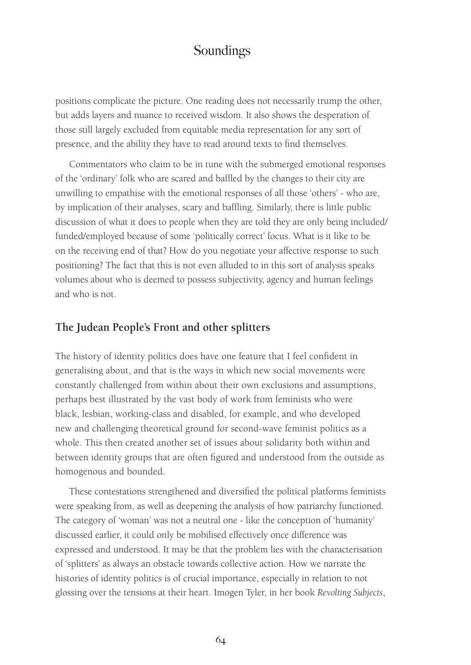positions complicate the picture. One reading does not necessarily trump the other, but adds layers and nuance to received wisdom. It also shows the desperation of those still largely excluded from equitable media representation for any sort of presence, and the ability they have to read around texts to find themselves.

Commentators who claim to be in tune with the submerged emotional responses of the 'ordinary' folk who are scared and baffled by the changes to their city are unwilling to empathise with the emotional responses of all those 'others' - who are, by implication of their analyses, scary and baffling. Similarly, there is little public discussion of what it does to people when they are told they are only being included/ funded/employed because of some 'politically correct' focus. What is it like to be on the receiving end of that? How do you negotiate your affective response to such positioning? The fact that this is not even alluded to in this sort of analysis speaks volumes about who is deemed to possess subjectivity, agency and human feelings and who is not.

#### **The Judean People's Front and other splitters**

The history of identity politics does have one feature that I feel confident in generalising about, and that is the ways in which new social movements were constantly challenged from within about their own exclusions and assumptions, perhaps best illustrated by the vast body of work from feminists who were black, lesbian, working-class and disabled, for example, and who developed new and challenging theoretical ground for second-wave feminist politics as a whole. This then created another set of issues about solidarity both within and between identity groups that are often figured and understood from the outside as homogenous and bounded.

These contestations strengthened and diversified the political platforms feminists were speaking from, as well as deepening the analysis of how patriarchy functioned. The category of 'woman' was not a neutral one - like the conception of 'humanity' discussed earlier, it could only be mobilised effectively once difference was expressed and understood. It may be that the problem lies with the characterisation of 'splitters' as always an obstacle towards collective action. How we narrate the histories of identity politics is of crucial importance, especially in relation to not glossing over the tensions at their heart. Imogen Tyler, in her book *Revolting Subjects*,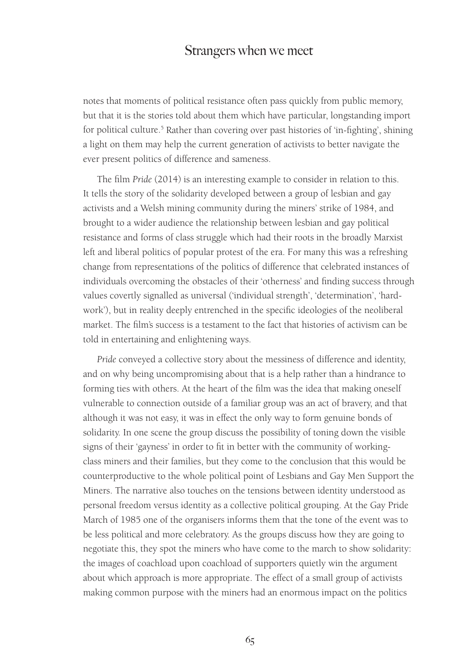notes that moments of political resistance often pass quickly from public memory, but that it is the stories told about them which have particular, longstanding import for political culture.<sup>5</sup> Rather than covering over past histories of 'in-fighting', shining a light on them may help the current generation of activists to better navigate the ever present politics of difference and sameness.

The film *Pride* (2014) is an interesting example to consider in relation to this. It tells the story of the solidarity developed between a group of lesbian and gay activists and a Welsh mining community during the miners' strike of 1984, and brought to a wider audience the relationship between lesbian and gay political resistance and forms of class struggle which had their roots in the broadly Marxist left and liberal politics of popular protest of the era. For many this was a refreshing change from representations of the politics of difference that celebrated instances of individuals overcoming the obstacles of their 'otherness' and finding success through values covertly signalled as universal ('individual strength', 'determination', 'hardwork'), but in reality deeply entrenched in the specific ideologies of the neoliberal market. The film's success is a testament to the fact that histories of activism can be told in entertaining and enlightening ways.

*Pride* conveyed a collective story about the messiness of difference and identity, and on why being uncompromising about that is a help rather than a hindrance to forming ties with others. At the heart of the film was the idea that making oneself vulnerable to connection outside of a familiar group was an act of bravery, and that although it was not easy, it was in effect the only way to form genuine bonds of solidarity. In one scene the group discuss the possibility of toning down the visible signs of their 'gayness' in order to fit in better with the community of workingclass miners and their families, but they come to the conclusion that this would be counterproductive to the whole political point of Lesbians and Gay Men Support the Miners. The narrative also touches on the tensions between identity understood as personal freedom versus identity as a collective political grouping. At the Gay Pride March of 1985 one of the organisers informs them that the tone of the event was to be less political and more celebratory. As the groups discuss how they are going to negotiate this, they spot the miners who have come to the march to show solidarity: the images of coachload upon coachload of supporters quietly win the argument about which approach is more appropriate. The effect of a small group of activists making common purpose with the miners had an enormous impact on the politics

65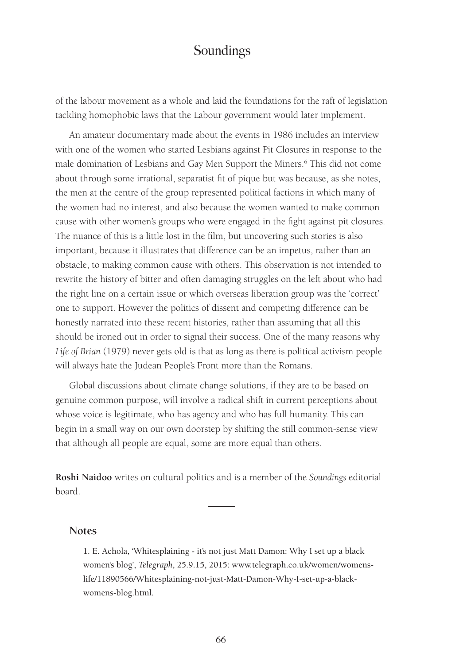of the labour movement as a whole and laid the foundations for the raft of legislation tackling homophobic laws that the Labour government would later implement.

An amateur documentary made about the events in 1986 includes an interview with one of the women who started Lesbians against Pit Closures in response to the male domination of Lesbians and Gay Men Support the Miners.6 This did not come about through some irrational, separatist fit of pique but was because, as she notes, the men at the centre of the group represented political factions in which many of the women had no interest, and also because the women wanted to make common cause with other women's groups who were engaged in the fight against pit closures. The nuance of this is a little lost in the film, but uncovering such stories is also important, because it illustrates that difference can be an impetus, rather than an obstacle, to making common cause with others. This observation is not intended to rewrite the history of bitter and often damaging struggles on the left about who had the right line on a certain issue or which overseas liberation group was the 'correct' one to support. However the politics of dissent and competing difference can be honestly narrated into these recent histories, rather than assuming that all this should be ironed out in order to signal their success. One of the many reasons why *Life of Brian* (1979) never gets old is that as long as there is political activism people will always hate the Judean People's Front more than the Romans.

Global discussions about climate change solutions, if they are to be based on genuine common purpose, will involve a radical shift in current perceptions about whose voice is legitimate, who has agency and who has full humanity. This can begin in a small way on our own doorstep by shifting the still common-sense view that although all people are equal, some are more equal than others.

**Roshi Naidoo** writes on cultural politics and is a member of the *Soundings* editorial board.

#### **Notes**

1. E. Achola, 'Whitesplaining - it's not just Matt Damon: Why I set up a black women's blog', *Telegraph*, 25.9.15, 2015: www.telegraph.co.uk/women/womenslife/11890566/Whitesplaining-not-just-Matt-Damon-Why-I-set-up-a-blackwomens-blog.html.